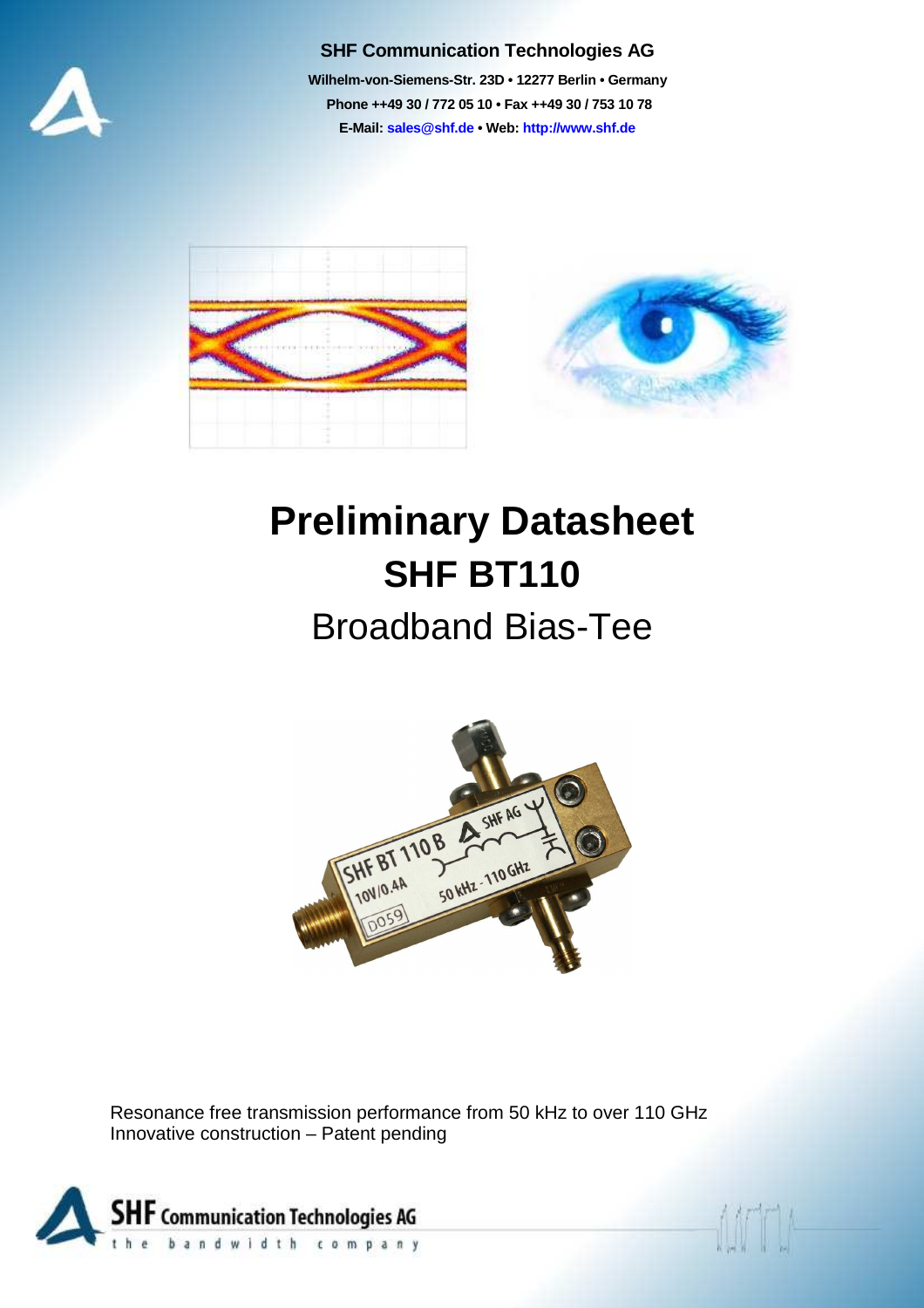

#### **SHF Communication Technologies AG**

**Wilhelm-von-Siemens-Str. 23D • 12277 Berlin • Germany Phone ++49 30 / 772 05 10 • Fax ++49 30 / 753 10 78 E-Mail: sales@shf.de • Web: http://www.shf.de**



# **Preliminary Datasheet SHF BT110**

## Broadband Bias-Tee



Resonance free transmission performance from 50 kHz to over 110 GHz Innovative construction – Patent pending

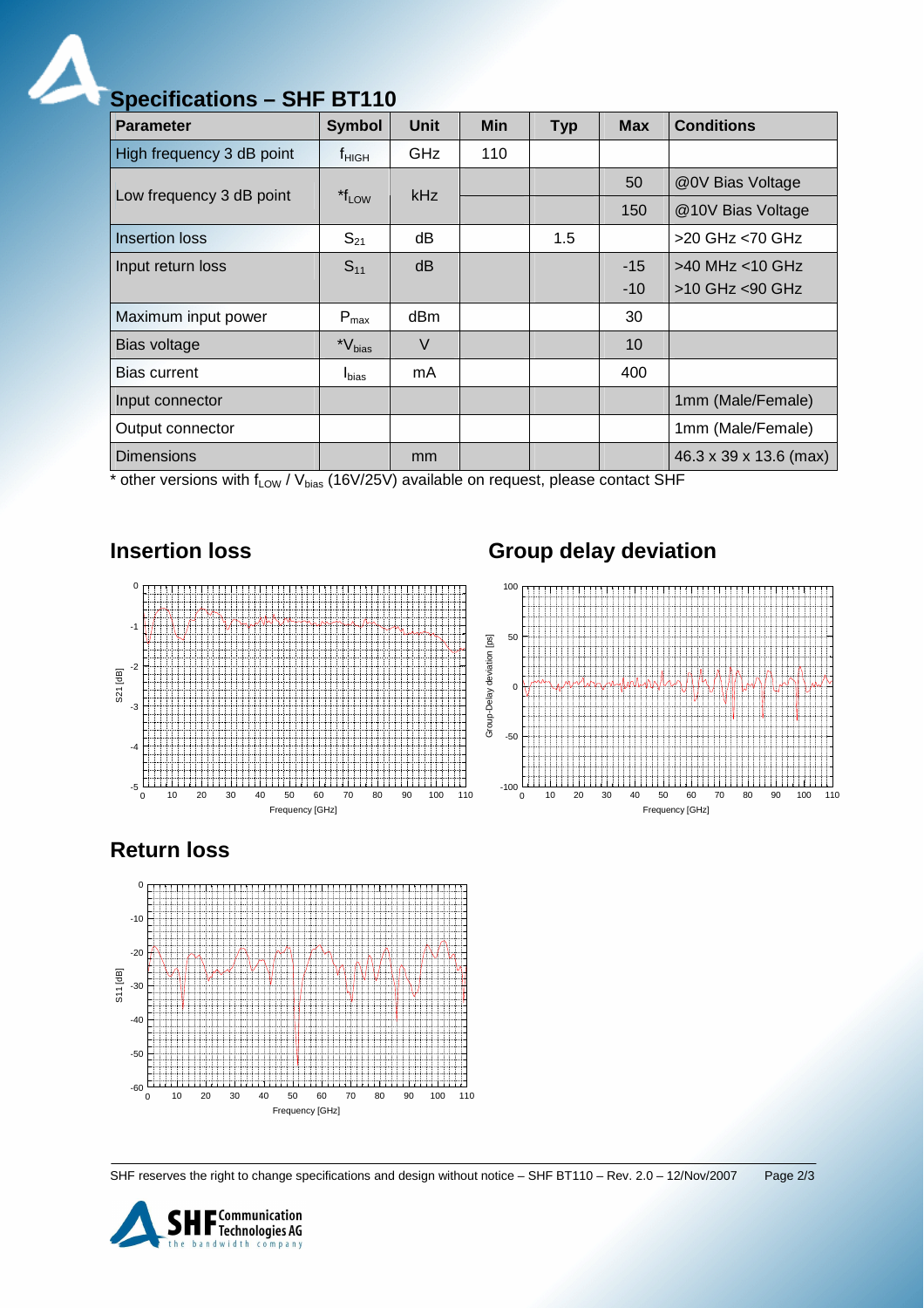

### **Specifications – SHF BT110**

| <b>Parameter</b>          | <b>Symbol</b>      | <b>Unit</b> | <b>Min</b> | <b>Typ</b> | <b>Max</b> | <b>Conditions</b>      |
|---------------------------|--------------------|-------------|------------|------------|------------|------------------------|
| High frequency 3 dB point | t <sub>ні GН</sub> | <b>GHz</b>  | 110        |            |            |                        |
| Low frequency 3 dB point  | $*f_{LOW}$         | kHz         |            |            | 50         | @0V Bias Voltage       |
|                           |                    |             |            |            | 150        | @10V Bias Voltage      |
| Insertion loss            | $S_{21}$           | dB          |            | 1.5        |            | >20 GHz <70 GHz        |
| Input return loss         | $S_{11}$           | dB          |            |            | $-15$      | $>40$ MHz $<$ 10 GHz   |
|                           |                    |             |            |            | $-10$      | $>10$ GHz $<$ 90 GHz   |
| Maximum input power       | $P_{\text{max}}$   | dBm         |            |            | 30         |                        |
| Bias voltage              | *V <sub>bias</sub> | V           |            |            | 10         |                        |
| Bias current              | $I_{bias}$         | mA          |            |            | 400        |                        |
| Input connector           |                    |             |            |            |            | 1mm (Male/Female)      |
| Output connector          |                    |             |            |            |            | 1mm (Male/Female)      |
| <b>Dimensions</b>         |                    | mm          |            |            |            | 46.3 x 39 x 13.6 (max) |

 $*$  other versions with  $f_{LOW}$  /  $V_{bias}$  (16V/25V) available on request, please contact SHF

#### 0 10 20 30 40 50 60 70 80 90 100 110  $-5\frac{1}{0}$ -4 -3 -2 -1  $\theta$ Frequency [GHz] S21 [dB]

#### **Insertion loss Group delay deviation**



#### **Return loss**



SHF reserves the right to change specifications and design without notice – SHF BT110 – Rev. 2.0 – 12/Nov/2007 Page 2/3